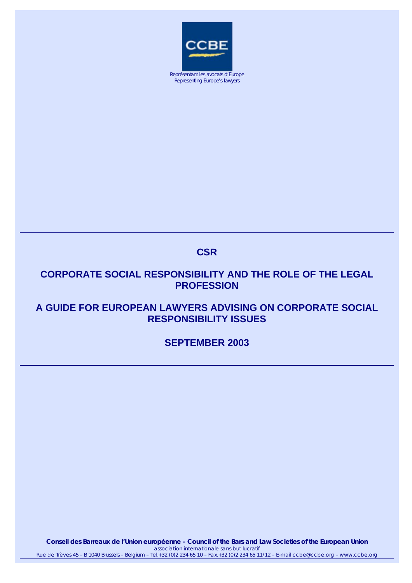

Représentant les avocats d'Europe Representing Europe's lawyers

# **CSR**

# **CORPORATE SOCIAL RESPONSIBILITY AND THE ROLE OF THE LEGAL PROFESSION**

# **A GUIDE FOR EUROPEAN LAWYERS ADVISING ON CORPORATE SOCIAL RESPONSIBILITY ISSUES**

# **SEPTEMBER 2003**

**Conseil des Barreaux de l'Union européenne – Council of the Bars and Law Societies of the European Union**  *association internationale sans but lucratif* Rue de Trèves 45 – B 1040 Brussels – Belgium – Tel.+32 (0)2 234 65 10 – Fax.+32 (0)2 234 65 11/12 – E-mail ccbe@ccbe.org – www.ccbe.org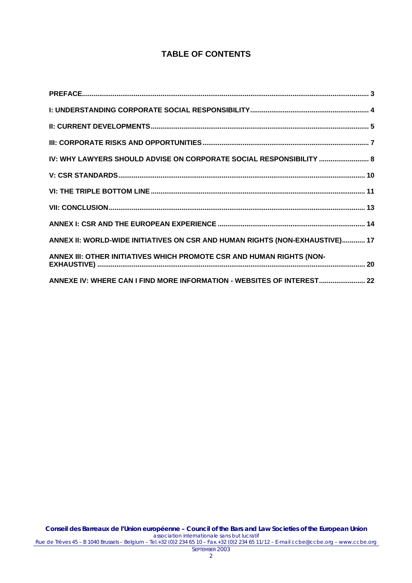# **TABLE OF CONTENTS**

| IV: WHY LAWYERS SHOULD ADVISE ON CORPORATE SOCIAL RESPONSIBILITY  8          |  |
|------------------------------------------------------------------------------|--|
|                                                                              |  |
|                                                                              |  |
|                                                                              |  |
|                                                                              |  |
| ANNEX II: WORLD-WIDE INITIATIVES ON CSR AND HUMAN RIGHTS (NON-EXHAUSTIVE) 17 |  |
| ANNEX III: OTHER INITIATIVES WHICH PROMOTE CSR AND HUMAN RIGHTS (NON-        |  |
| ANNEXE IV: WHERE CAN I FIND MORE INFORMATION - WEBSITES OF INTEREST 22       |  |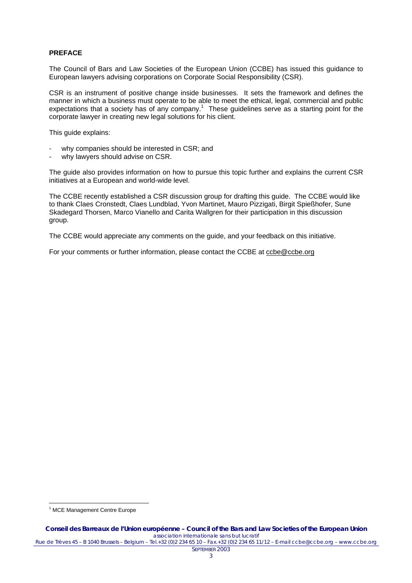# <span id="page-2-0"></span>**PREFACE**

The Council of Bars and Law Societies of the European Union (CCBE) has issued this guidance to European lawyers advising corporations on Corporate Social Responsibility (CSR).

CSR is an instrument of positive change inside businesses. It sets the framework and defines the manner in which a business must operate to be able to meet the ethical, legal, commercial and public expectationsthat a society has of any company.<sup>1</sup> These guidelines serve as a starting point for the corporate lawyer in creating new legal solutions for his client.

This guide explains:

- why companies should be interested in CSR; and
- why lawyers should advise on CSR.

The guide also provides information on how to pursue this topic further and explains the current CSR initiatives at a European and world-wide level.

The CCBE recently established a CSR discussion group for drafting this guide. The CCBE would like to thank Claes Cronstedt, Claes Lundblad, Yvon Martinet, Mauro Pizzigati, Birgit Spießhofer, Sune Skadegard Thorsen, Marco Vianello and Carita Wallgren for their participation in this discussion group.

The CCBE would appreciate any comments on the guide, and your feedback on this initiative.

For your comments or further information, please contact the CCBE at [ccbe@ccbe.org](mailto:ccbe@ccbe.org)

<span id="page-2-1"></span> $\overline{a}$ <sup>1</sup> MCE Management Centre Europe

SEPTEMBER 2003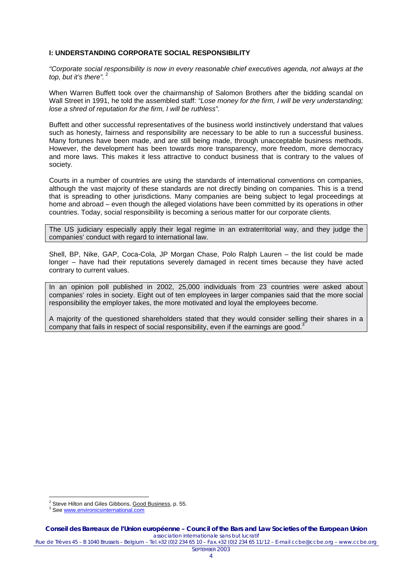# <span id="page-3-0"></span>**I: UNDERSTANDING CORPORATE SOCIAL RESPONSIBILITY**

*"Corporate social responsibility is now in every reasonable chief executives agenda, not always at the*  top, but it's there".<sup>[2](#page-3-1)</sup>

When Warren Buffett took over the chairmanship of Salomon Brothers after the bidding scandal on Wall Street in 1991, he told the assembled staff: *"Lose money for the firm, I will be very understanding; lose a shred of reputation for the firm, I will be ruthless".*

Buffett and other successful representatives of the business world instinctively understand that values such as honesty, fairness and responsibility are necessary to be able to run a successful business. Many fortunes have been made, and are still being made, through unacceptable business methods. However, the development has been towards more transparency, more freedom, more democracy and more laws. This makes it less attractive to conduct business that is contrary to the values of society.

Courts in a number of countries are using the standards of international conventions on companies, although the vast majority of these standards are not directly binding on companies. This is a trend that is spreading to other jurisdictions. Many companies are being subject to legal proceedings at home and abroad – even though the alleged violations have been committed by its operations in other countries. Today, social responsibility is becoming a serious matter for our corporate clients.

The US judiciary especially apply their legal regime in an extraterritorial way, and they judge the companies' conduct with regard to international law.

Shell, BP, Nike, GAP, Coca-Cola, JP Morgan Chase, Polo Ralph Lauren – the list could be made longer – have had their reputations severely damaged in recent times because they have acted contrary to current values.

In an opinion poll published in 2002, 25,000 individuals from 23 countries were asked about companies' roles in society. Eight out of ten employees in larger companies said that the more social responsibility the employer takes, the more motivated and loyal the employees become.

A majority of the questioned shareholders stated that they would consider selling their shares in a company that fails in respect of social responsibility, even if the earnings are good.<sup>[3](#page-3-2)</sup>

 $\overline{a}$ 

<span id="page-3-1"></span><sup>&</sup>lt;sup>2</sup> Steve Hilton and Giles Gibbons, Good Business, p. 55.

<span id="page-3-2"></span><sup>&</sup>lt;sup>3</sup> See www.environicsinternational.com

Rue de Trèves 45 – B 1040 Brussels – Belgium – Tel.+32 (0)2 234 65 10 – Fax.+32 (0)2 234 65 11/12 – E-mail ccbe@ccbe.org – www.ccbe.org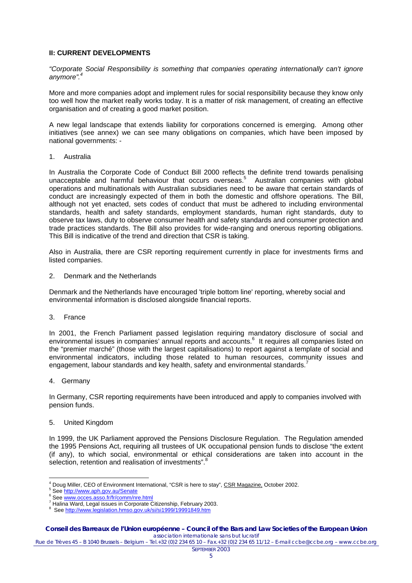# <span id="page-4-0"></span>**II: CURRENT DEVELOPMENTS**

*"Corporate Social Responsibility is something that companies operating internationally can't ignore anymore". [4](#page-4-1)*

More and more companies adopt and implement rules for social responsibility because they know only too well how the market really works today. It is a matter of risk management, of creating an effective organisation and of creating a good market position.

A new legal landscape that extends liability for corporations concerned is emerging. Among other initiatives (see annex) we can see many obligations on companies, which have been imposed by national governments: -

1. Australia

In Australia the Corporate Code of Conduct Bill 2000 reflects the definite trend towards penalising unacceptable and harmful behaviour that occurs overseas.<sup>[5](#page-4-2)</sup> Australian companies with global operations and multinationals with Australian subsidiaries need to be aware that certain standards of conduct are increasingly expected of them in both the domestic and offshore operations. The Bill, although not yet enacted, sets codes of conduct that must be adhered to including environmental standards, health and safety standards, employment standards, human right standards, duty to observe tax laws, duty to observe consumer health and safety standards and consumer protection and trade practices standards. The Bill also provides for wide-ranging and onerous reporting obligations. This Bill is indicative of the trend and direction that CSR is taking.

Also in Australia, there are CSR reporting requirement currently in place for investments firms and listed companies.

2. Denmark and the Netherlands

Denmark and the Netherlands have encouraged 'triple bottom line' reporting, whereby social and environmental information is disclosed alongside financial reports.

3. France

In 2001, the French Parliament passed legislation requiring mandatory disclosure of social and environmentalissues in companies' annual reports and accounts.<sup>6</sup> It requires all companies listed on the "premier marché" (those with the largest capitalisations) to report against a template of social and environmental indicators, including those related to human resources, community issues and engagement, labour standards and key health, safety and environmental standards.

4. Germany

In Germany, CSR reporting requirements have been introduced and apply to companies involved with pension funds.

5. United Kingdom

In 1999, the UK Parliament approved the Pensions Disclosure Regulation. The Regulation amended the 1995 Pensions Act, requiring all trustees of UK occupational pension funds to disclose "the extent (if any), to which social, environmental or ethical considerations are taken into account in the selection, retention and realisation of investments".<sup>8</sup>

 $\overline{a}$ <sup>4</sup> Doug Miller, CEO of Environment International, "CSR is here to stay", <u>CSR Magazine,</u> October 2002.<br><sup>5</sup> See http://www.esh.gov.gu/Seeste

<span id="page-4-2"></span><span id="page-4-1"></span><sup>&</sup>lt;sup>5</sup> See<http://www.aph.gov.au/Senate>

<span id="page-4-3"></span><sup>&</sup>lt;sup>6</sup> See www.occes.asso.fr/fr/comm/nre.html

<span id="page-4-4"></span><sup>&</sup>lt;sup>7</sup> Halina Ward, Legal issues in Corporate Citizenship, February 2003.

<span id="page-4-5"></span><sup>8</sup> See <http://www.legislation.hmso.gov.uk/si/si1999/19991849.htm>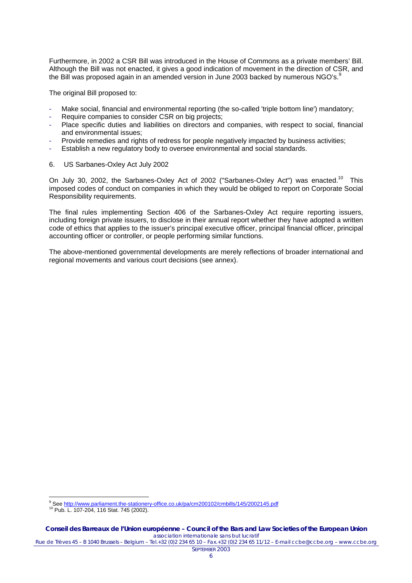Furthermore, in 2002 a CSR Bill was introduced in the House of Commons as a private members' Bill. Although the Bill was not enacted, it gives a good indication of movement in the direction of CSR, and the Bill was proposed again in an amended version in June 2003 backed by numerous  $NGO's$ .<sup>[9](#page-5-0)</sup>

The original Bill proposed to:

- Make social, financial and environmental reporting (the so-called 'triple bottom line') mandatory;
- Require companies to consider CSR on big projects;
- Place specific duties and liabilities on directors and companies, with respect to social, financial and environmental issues;
- Provide remedies and rights of redress for people negatively impacted by business activities;
- Establish a new regulatory body to oversee environmental and social standards.
- 6. US Sarbanes-Oxley Act July 2002

On July 30, 2002, the Sarbanes-Oxley Act of 2002 ("Sarbanes-Oxley Act") was enacted.<sup>10</sup> This imposed codes of conduct on companies in which they would be obliged to report on Corporate Social Responsibility requirements.

The final rules implementing Section 406 of the Sarbanes-Oxley Act require reporting issuers, including foreign private issuers, to disclose in their annual report whether they have adopted a written code of ethics that applies to the issuer's principal executive officer, principal financial officer, principal accounting officer or controller, or people performing similar functions.

The above-mentioned governmental developments are merely reflections of broader international and regional movements and various court decisions (see annex).

ersetted and the station of the stationery-office.co.uk/pa/cm200102/cmbills/145/2002145.pdf<br>See<http://www.parliament.the-stationery-office.co.uk/pa/cm200102/cmbills/145/2002145.pdf>

<span id="page-5-1"></span><span id="page-5-0"></span><sup>10</sup> Pub. L. 107-204, 116 Stat. 745 (2002).

**Conseil des Barreaux de l'Union européenne – Council of the Bars and Law Societies of the European Union**  *association internationale sans but lucratif*

Rue de Trèves 45 – B 1040 Brussels – Belgium – Tel.+32 (0)2 234 65 10 – Fax.+32 (0)2 234 65 11/12 – E-mail ccbe@ccbe.org – www.ccbe.org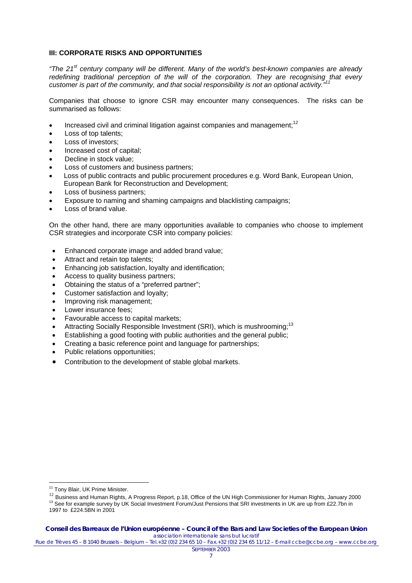# <span id="page-6-0"></span>**III: CORPORATE RISKS AND OPPORTUNITIES**

*"The 21st century company will be different. Many of the world's best-known companies are already redefining traditional perception of the will of the corporation. They are recognising that every customer is part of the community, and that social responsibility is not an optional activity."[11](#page-6-1)*

Companies that choose to ignore CSR may encounter many consequences. The risks can be summarised as follows:

- Increased civil and criminal litigation against companies and management; $12$
- Loss of top talents:
- Loss of investors:
- Increased cost of capital;
- Decline in stock value;
- Loss of customers and business partners:
- Loss of public contracts and public procurement procedures e.g. Word Bank, European Union, European Bank for Reconstruction and Development;
- Loss of business partners;
- Exposure to naming and shaming campaigns and blacklisting campaigns;
- Loss of brand value.

On the other hand, there are many opportunities available to companies who choose to implement CSR strategies and incorporate CSR into company policies:

- Enhanced corporate image and added brand value;
- Attract and retain top talents;
- Enhancing job satisfaction, loyalty and identification;
- Access to quality business partners;
- Obtaining the status of a "preferred partner";
- Customer satisfaction and loyalty;
- Improving risk management;
- Lower insurance fees;
- Favourable access to capital markets;
- Attracting Socially Responsible Investment (SRI), which is mushrooming:<sup>13</sup>
- Establishing a good footing with public authorities and the general public;
- Creating a basic reference point and language for partnerships;
- Public relations opportunities;
- Contribution to the development of stable global markets.

<span id="page-6-1"></span><sup>&</sup>lt;sup>11</sup> Tony Blair, UK Prime Minister.

<span id="page-6-2"></span><sup>12</sup> Business and Human Rights, A Progress Report, p.18, Office of the UN High Commissioner for Human Rights, January 2000

<span id="page-6-3"></span><sup>13</sup> See for example survey by UK Social Investment Forum/Just Pensions that SRI investments in UK are up from £22.7bn in 1997 to £224.5BN in 2001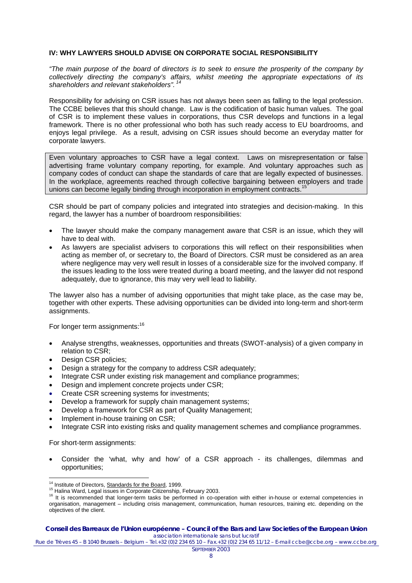# <span id="page-7-0"></span>**IV: WHY LAWYERS SHOULD ADVISE ON CORPORATE SOCIAL RESPONSIBILITY**

*"The main purpose of the board of directors is to seek to ensure the prosperity of the company by collectively directing the company's affairs, whilst meeting the appropriate expectations of its shareholders and relevant stakeholders".  [14](#page-7-1)* 

Responsibility for advising on CSR issues has not always been seen as falling to the legal profession. The CCBE believes that this should change. Law is the codification of basic human values. The goal of CSR is to implement these values in corporations, thus CSR develops and functions in a legal framework. There is no other professional who both has such ready access to EU boardrooms, and enjoys legal privilege. As a result, advising on CSR issues should become an everyday matter for corporate lawyers.

Even voluntary approaches to CSR have a legal context. Laws on misrepresentation or false advertising frame voluntary company reporting, for example. And voluntary approaches such as company codes of conduct can shape the standards of care that are legally expected of businesses. In the workplace, agreements reached through collective bargaining between employers and trade unions can become legally binding through incorporation in employment contracts.<sup>[15](#page-7-2)</sup>

CSR should be part of company policies and integrated into strategies and decision-making. In this regard, the lawyer has a number of boardroom responsibilities:

- The lawyer should make the company management aware that CSR is an issue, which they will have to deal with.
- As lawyers are specialist advisers to corporations this will reflect on their responsibilities when acting as member of, or secretary to, the Board of Directors. CSR must be considered as an area where negligence may very well result in losses of a considerable size for the involved company. If the issues leading to the loss were treated during a board meeting, and the lawyer did not respond adequately, due to ignorance, this may very well lead to liability.

The lawyer also has a number of advising opportunities that might take place, as the case may be, together with other experts. These advising opportunities can be divided into long-term and short-term assignments.

For longer term assignments:<sup>[16](#page-7-3)</sup>

- Analyse strengths, weaknesses, opportunities and threats (SWOT-analysis) of a given company in relation to CSR;
- Design CSR policies;
- Design a strategy for the company to address CSR adequately;
- Integrate CSR under existing risk management and compliance programmes;
- Design and implement concrete projects under CSR;
- Create CSR screening systems for investments;
- Develop a framework for supply chain management systems;
- Develop a framework for CSR as part of Quality Management;
- Implement in-house training on CSR;
- Integrate CSR into existing risks and quality management schemes and compliance programmes.

For short-term assignments:

• Consider the 'what, why and how' of a CSR approach - its challenges, dilemmas and opportunities;

<span id="page-7-1"></span><sup>&</sup>lt;sup>14</sup> Institute of Directors, **Standards for the Board**, 1999.

<span id="page-7-2"></span><sup>15</sup> Halina Ward, Legal issues in Corporate Citizenship, February 2003.

<span id="page-7-3"></span><sup>&</sup>lt;sup>16</sup> It is recommended that longer-term tasks be performed in co-operation with either in-house or external competencies in organisation, management – including crisis management, communication, human resources, training etc. depending on the objectives of the client.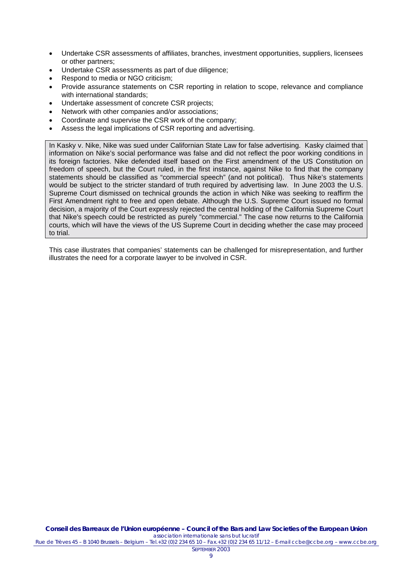- Undertake CSR assessments of affiliates, branches, investment opportunities, suppliers, licensees or other partners;
- Undertake CSR assessments as part of due diligence;
- Respond to media or NGO criticism;
- Provide assurance statements on CSR reporting in relation to scope, relevance and compliance with international standards;
- Undertake assessment of concrete CSR projects:
- Network with other companies and/or associations;
- Coordinate and supervise the CSR work of the company;
- Assess the legal implications of CSR reporting and advertising.

In Kasky v. Nike, Nike was sued under Californian State Law for false advertising. Kasky claimed that information on Nike's social performance was false and did not reflect the poor working conditions in its foreign factories. Nike defended itself based on the First amendment of the US Constitution on freedom of speech, but the Court ruled, in the first instance, against Nike to find that the company statements should be classified as "commercial speech" (and not political). Thus Nike's statements would be subject to the stricter standard of truth required by advertising law. In June 2003 the U.S. Supreme Court dismissed on technical grounds the action in which Nike was seeking to reaffirm the First Amendment right to free and open debate. Although the U.S. Supreme Court issued no formal decision, a majority of the Court expressly rejected the central holding of the California Supreme Court that Nike's speech could be restricted as purely "commercial." The case now returns to the California courts, which will have the views of the US Supreme Court in deciding whether the case may proceed to trial.

This case illustrates that companies' statements can be challenged for misrepresentation, and further illustrates the need for a corporate lawyer to be involved in CSR.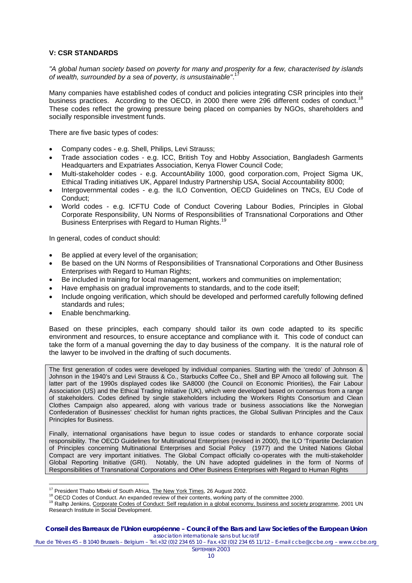# <span id="page-9-0"></span>**V: CSR STANDARDS**

*"A global human society based on poverty for many and prosperity for a few, characterised by islands of wealth, surrounded by a sea of poverty, is unsustainable"*. [17](#page-9-1)

Many companies have established codes of conduct and policies integrating CSR principles into their business practices. According to the OECD, in 2000 there were 296 different codes of conduct. These codes reflect the growing pressure being placed on companies by NGOs, shareholders and socially responsible investment funds.

There are five basic types of codes:

- Company codes e.g. Shell, Philips, Levi Strauss;
- Trade association codes e.g. ICC, British Toy and Hobby Association, Bangladesh Garments Headquarters and Expatriates Association, Kenya Flower Council Code;
- Multi-stakeholder codes e.g. AccountAbility 1000, good corporation.com, Project Sigma UK, Ethical Trading initiatives UK, Apparel Industry Partnership USA, Social Accountability 8000;
- Intergovernmental codes e.g. the ILO Convention, OECD Guidelines on TNCs, EU Code of Conduct;
- World codes e.g. ICFTU Code of Conduct Covering Labour Bodies, Principles in Global Corporate Responsibility, UN Norms of Responsibilities of Transnational Corporations and Other Business Enterprises with Regard to Human Rights.<sup>[19](#page-9-3)</sup>

In general, codes of conduct should:

- Be applied at every level of the organisation;
- Be based on the UN Norms of Responsibilities of Transnational Corporations and Other Business Enterprises with Regard to Human Rights;
- Be included in training for local management, workers and communities on implementation;
- Have emphasis on gradual improvements to standards, and to the code itself;
- Include ongoing verification, which should be developed and performed carefully following defined standards and rules;
- Enable benchmarking.

Based on these principles, each company should tailor its own code adapted to its specific environment and resources, to ensure acceptance and compliance with it. This code of conduct can take the form of a manual governing the day to day business of the company. It is the natural role of the lawyer to be involved in the drafting of such documents.

The first generation of codes were developed by individual companies. Starting with the 'credo' of Johnson & Johnson in the 1940's and Levi Strauss & Co., Starbucks Coffee Co., Shell and BP Amoco all following suit. The latter part of the 1990s displayed codes like SA8000 (the Council on Economic Priorities), the Fair Labour Association (US) and the Ethical Trading Initiative (UK), which were developed based on consensus from a range of stakeholders. Codes defined by single stakeholders including the Workers Rights Consortium and Clean Clothes Campaign also appeared, along with various trade or business associations like the Norwegian Confederation of Businesses' checklist for human rights practices, the Global Sullivan Principles and the Caux Principles for Business.

Finally, international organisations have begun to issue codes or standards to enhance corporate social responsibility. The OECD Guidelines for Multinational Enterprises (revised in 2000), the ILO 'Tripartite Declaration of Principles concerning Multinational Enterprises and Social Policy (1977) and the United Nations Global Compact are very important initiatives. The Global Compact officially co-operates with the multi-stakeholder<br>Global Reporting Initiative (GRI). Notably, the UN have adopted guidelines in the form of Norms of Notably, the UN have adopted guidelines in the form of Norms of Responsibilities of Transnational Corporations and Other Business Enterprises with Regard to Human Rights

#### **Conseil des Barreaux de l'Union européenne – Council of the Bars and Law Societies of the European Union**  *association internationale sans but lucratif*

 $\overline{a}$ 

<span id="page-9-2"></span><span id="page-9-1"></span><sup>&</sup>lt;sup>17</sup> President Thabo Mbeki of South Africa, **The New York Times, 26 August 2002.**<br><sup>18</sup> OECD Codes of Conduct. An expanded review of their contents, working party of the committee 2000.

<span id="page-9-3"></span><sup>&</sup>lt;sup>19</sup> Ralhp Jenkins, Corporate Codes of Conduct: Self regulation in a global economy, business and society programme, 2001 UN Research Institute in Social Development.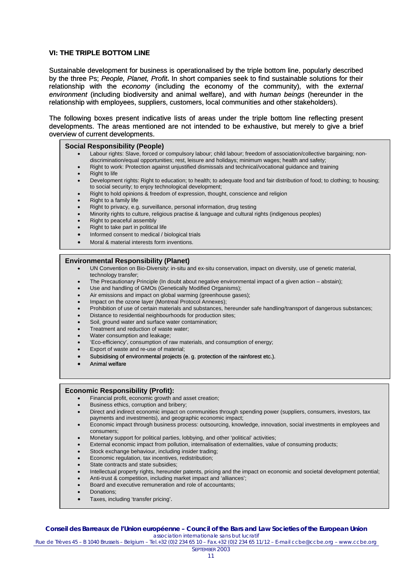## <span id="page-10-0"></span>**VI: THE TRIPLE BOTTOM LINE**

Sustainable development for business is operationalised by the triple bottom line, popularly described by the three Ps; *People, Planet, Profit***.** In short companies seek to find sustainable solutions for their relationship with the *economy* (including the economy of the community), with the *external environment* (including biodiversity and animal welfare), and with *human beings* (hereunder in the relationship with employees, suppliers, customers, local communities and other stakeholders).

The following boxes present indicative lists of areas under the triple bottom line reflecting present developments. The areas mentioned are not intended to be exhaustive, but merely to give a brief overview of current developments.

### **Social Responsibility (People)**

- Labour rights: Slave, forced or compulsory labour; child labour; freedom of association/collective bargaining; nondiscrimination/equal opportunities; rest, leisure and holidays; minimum wages; health and safety;
	- Right to work: Protection against unjustified dismissals and technical/vocational guidance and training
- Right to life
- Development rights: Right to education; to health; to adequate food and fair distribution of food; to clothing; to housing; to social security; to enjoy technological development;
- Right to hold opinions & freedom of expression, thought, conscience and religion
- Right to a family life
- Right to privacy, e.g. surveillance, personal information, drug testing
- Minority rights to culture, religious practise & language and cultural rights (indigenous peoples)
- Right to peaceful assembly
- Right to take part in political life
- Informed consent to medical / biological trials
- Moral & material interests form inventions.

### **Environmental Responsibility (Planet)**

- UN Convention on Bio-Diversity: in-situ and ex-situ conservation, impact on diversity, use of genetic material, technology transfer:
- The Precautionary Principle (In doubt about negative environmental impact of a given action abstain);
- Use and handling of GMOs (Genetically Modified Organisms);
- Air emissions and impact on global warming (greenhouse gases);
- Impact on the ozone layer (Montreal Protocol Annexes);
- Prohibition of use of certain materials and substances, hereunder safe handling/transport of dangerous substances;
- Distance to residential neighbourhoods for production sites;
- Soil, ground water and surface water contamination;
- Treatment and reduction of waste water;
- Water consumption and leakage;
- 'Eco-efficiency', consumption of raw materials, and consumption of energy;
- Export of waste and re-use of material;
- Subsidising of environmental projects (e. g. protection of the rainforest etc.).
- Animal welfare

#### **Economic Responsibility (Profit):**

- Financial profit, economic growth and asset creation;
- Business ethics, corruption and bribery;
- Direct and indirect economic impact on communities through spending power (suppliers, consumers, investors, tax payments and investments), and geographic economic impact;
- Economic impact through business process: outsourcing, knowledge, innovation, social investments in employees and consumers;
- Monetary support for political parties, lobbying, and other 'political' activities;
- External economic impact from pollution, internalisation of externalities, value of consuming products;
- Stock exchange behaviour, including insider trading;
- Economic regulation, tax incentives, redistribution;
- State contracts and state subsidies;
- Intellectual property rights, hereunder patents, pricing and the impact on economic and societal development potential;
- Anti-trust & competition, including market impact and 'alliances';
- Board and executive remuneration and role of accountants;
- Donations;
- Taxes, including 'transfer pricing'.

#### **Conseil des Barreaux de l'Union européenne – Council of the Bars and Law Societies of the European Union**  *association internationale sans but lucratif*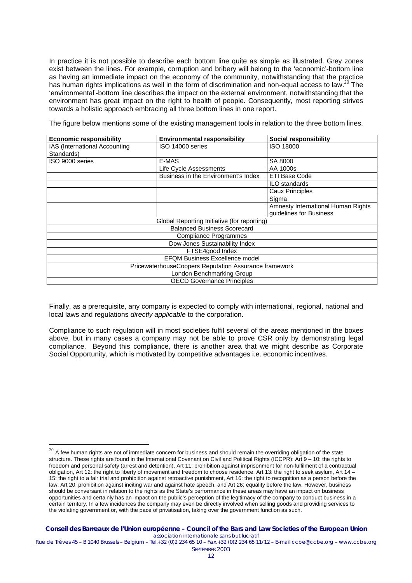In practice it is not possible to describe each bottom line quite as simple as illustrated. Grey zones exist between the lines. For example, corruption and bribery will belong to the 'economic'-bottom line as having an immediate impact on the economy of the community, notwithstanding that the practice has human rights implications as well in the form of discrimination and non-equal access to law.<sup>20</sup> The 'environmental'-bottom line describes the impact on the external environment, notwithstanding that the environment has great impact on the right to health of people. Consequently, most reporting strives towards a holistic approach embracing all three bottom lines in one report.

The figure below mentions some of the existing management tools in relation to the three bottom lines.

| <b>Economic responsibility</b>                        | <b>Environmental responsibility</b> | <b>Social responsibility</b>       |
|-------------------------------------------------------|-------------------------------------|------------------------------------|
| IAS (International Accounting                         | ISO 14000 series                    | ISO 18000                          |
| Standards)                                            |                                     |                                    |
| ISO 9000 series                                       | E-MAS                               | SA 8000                            |
|                                                       | Life Cycle Assessments              | AA 1000s                           |
|                                                       | Business in the Environment's Index | <b>ETI Base Code</b>               |
|                                                       |                                     | ILO standards                      |
|                                                       |                                     | <b>Caux Principles</b>             |
|                                                       |                                     | Sigma                              |
|                                                       |                                     | Amnesty International Human Rights |
|                                                       |                                     | guidelines for Business            |
| Global Reporting Initiative (for reporting)           |                                     |                                    |
| <b>Balanced Business Scorecard</b>                    |                                     |                                    |
| <b>Compliance Programmes</b>                          |                                     |                                    |
| Dow Jones Sustainability Index                        |                                     |                                    |
| FTSE4good Index                                       |                                     |                                    |
| <b>EFQM Business Excellence model</b>                 |                                     |                                    |
| PricewaterhouseCoopers Reputation Assurance framework |                                     |                                    |
| London Benchmarking Group                             |                                     |                                    |
| <b>OECD Governance Principles</b>                     |                                     |                                    |

Finally, as a prerequisite, any company is expected to comply with international, regional, national and local laws and regulations *directly applicable* to the corporation.

Compliance to such regulation will in most societies fulfil several of the areas mentioned in the boxes above, but in many cases a company may not be able to prove CSR only by demonstrating legal compliance. Beyond this compliance, there is another area that we might describe as Corporate Social Opportunity, which is motivated by competitive advantages i.e. economic incentives.

 $\overline{a}$ 

**Conseil des Barreaux de l'Union européenne – Council of the Bars and Law Societies of the European Union**  *association internationale sans but lucratif*

<span id="page-11-0"></span> $20$  A few human rights are not of immediate concern for business and should remain the overriding obligation of the state structure. These rights are found in the International Covenant on Civil and Political Rights (ICCPR): Art 9 – 10: the rights to freedom and personal safety (arrest and detention), Art 11: prohibition against imprisonment for non-fulfilment of a contractual obligation, Art 12: the right to liberty of movement and freedom to choose residence, Art 13: the right to seek asylum, Art 14 – 15: the right to a fair trial and prohibition against retroactive punishment, Art 16: the right to recognition as a person before the law, Art 20: prohibition against inciting war and against hate speech, and Art 26: equality before the law. However, business should be conversant in relation to the rights as the State's performance in these areas may have an impact on business opportunities and certainly has an impact on the public's perception of the legitimacy of the company to conduct business in a certain territory. In a few incidences the company may even be directly involved when selling goods and providing services to the violating government or, with the pace of privatisation, taking over the government function as such.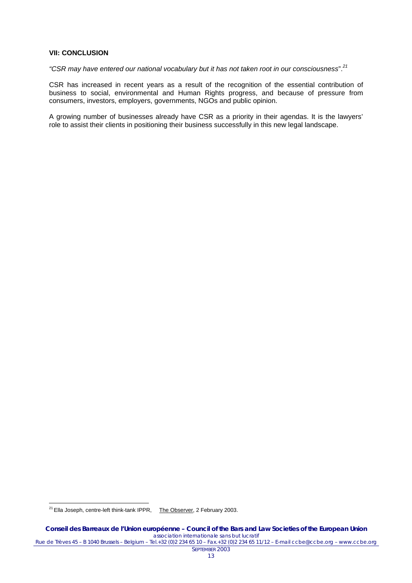## <span id="page-12-0"></span>**VII: CONCLUSION**

*"CSR may have entered our national vocabulary but it has not taken root in our consciousness*".*[21](#page-12-1)*

CSR has increased in recent years as a result of the recognition of the essential contribution of business to social, environmental and Human Rights progress, and because of pressure from consumers, investors, employers, governments, NGOs and public opinion.

A growing number of businesses already have CSR as a priority in their agendas. It is the lawyers' role to assist their clients in positioning their business successfully in this new legal landscape.

 $\overline{a}$ 

SEPTEMBER 2003

<span id="page-12-1"></span><sup>&</sup>lt;sup>21</sup> Ella Joseph, centre-left think-tank IPPR, The Observer, 2 February 2003.

**Conseil des Barreaux de l'Union européenne – Council of the Bars and Law Societies of the European Union**  *association internationale sans but lucratif* Rue de Trèves 45 – B 1040 Brussels – Belgium – Tel.+32 (0)2 234 65 10 – Fax.+32 (0)2 234 65 11/12 – E-mail ccbe@ccbe.org – www.ccbe.org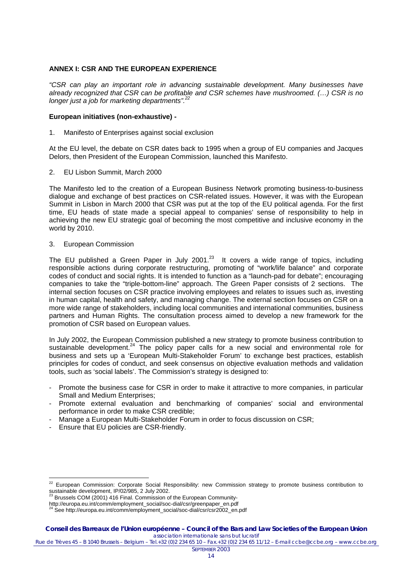# <span id="page-13-0"></span>**ANNEX I: CSR AND THE EUROPEAN EXPERIENCE**

*"CSR can play an important role in advancing sustainable development. Many businesses have already recognized that CSR can be profitable and CSR schemes have mushroomed. (…) CSR is no longer just a job for marketing departments". [22](#page-13-1)*

# **European initiatives (non-exhaustive) -**

1. Manifesto of Enterprises against social exclusion

At the EU level, the debate on CSR dates back to 1995 when a group of EU companies and Jacques Delors, then President of the European Commission, launched this Manifesto.

2. EU Lisbon Summit, March 2000

The Manifesto led to the creation of a European Business Network promoting business-to-business dialogue and exchange of best practices on CSR-related issues. However, it was with the European Summit in Lisbon in March 2000 that CSR was put at the top of the EU political agenda. For the first time, EU heads of state made a special appeal to companies' sense of responsibility to help in achieving the new EU strategic goal of becoming the most competitive and inclusive economy in the world by 2010.

### 3. European Commission

The EU published a Green Paper in July 2001.<sup>23</sup> It covers a wide range of topics, including responsible actions during corporate restructuring, promoting of "work/life balance" and corporate codes of conduct and social rights. It is intended to function as a "launch-pad for debate"; encouraging companies to take the "triple-bottom-line" approach. The Green Paper consists of 2 sections. The internal section focuses on CSR practice involving employees and relates to issues such as, investing in human capital, health and safety, and managing change. The external section focuses on CSR on a more wide range of stakeholders, including local communities and international communities, business partners and Human Rights. The consultation process aimed to develop a new framework for the promotion of CSR based on European values.

In July 2002, the European Commission published a new strategy to promote business contribution to sustainable development.[24](#page-13-3) The policy paper calls for a new social and environmental role for business and sets up a 'European Multi-Stakeholder Forum' to exchange best practices, establish principles for codes of conduct, and seek consensus on objective evaluation methods and validation tools, such as 'social labels'. The Commission's strategy is designed to:

- Promote the business case for CSR in order to make it attractive to more companies, in particular Small and Medium Enterprises;
- Promote external evaluation and benchmarking of companies' social and environmental performance in order to make CSR credible;
- Manage a European Multi-Stakeholder Forum in order to focus discussion on CSR;
- Ensure that EU policies are CSR-friendly.

 $\overline{a}$ 

<span id="page-13-1"></span> $22$  European Commission: Corporate Social Responsibility: new Commission strategy to promote business contribution to sustainable development, IP/02/985, 2 July 2002.<br><sup>23</sup> Brussels COM (2001) 416 Final. Commission of the European Community-

<span id="page-13-2"></span>

http://europa.eu.int/comm/employment\_social/soc-dial/csr/greenpaper\_en.pdf

<span id="page-13-3"></span>See http://europa.eu.int/comm/employment\_social/soc-dial/csr/csr2002\_en.pdf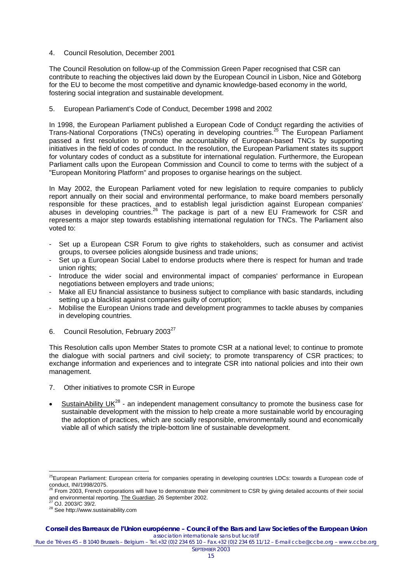# 4. Council Resolution, December 2001

The Council Resolution on follow-up of the Commission Green Paper recognised that CSR can contribute to reaching the objectives laid down by the European Council in Lisbon, Nice and Göteborg for the EU to become the most competitive and dynamic knowledge-based economy in the world, fostering social integration and sustainable development.

# 5. European Parliament's Code of Conduct, December 1998 and 2002

In 1998, the European Parliament published a European Code of Conduct regarding the activities of Trans-National Corporations (TNCs) operating in developing countries[.25](#page-14-0) The European Parliament passed a first resolution to promote the accountability of European-based TNCs by supporting initiatives in the field of codes of conduct. In the resolution, the European Parliament states its support for voluntary codes of conduct as a substitute for international regulation. Furthermore, the European Parliament calls upon the European Commission and Council to come to terms with the subject of a "European Monitoring Platform" and proposes to organise hearings on the subject.

In May 2002, the European Parliament voted for new legislation to require companies to publicly report annually on their social and environmental performance, to make board members personally responsible for these practices, and to establish legal jurisdiction against European companies' abuses in developing countries.<sup>26</sup> The package is part of a new EU Framework for CSR and represents a major step towards establishing international regulation for TNCs. The Parliament also voted to:

- Set up a European CSR Forum to give rights to stakeholders, such as consumer and activist groups, to oversee policies alongside business and trade unions;
- Set up a European Social Label to endorse products where there is respect for human and trade union rights;
- Introduce the wider social and environmental impact of companies' performance in European negotiations between employers and trade unions;
- Make all EU financial assistance to business subject to compliance with basic standards, including setting up a blacklist against companies guilty of corruption:
- Mobilise the European Unions trade and development programmes to tackle abuses by companies in developing countries.
- 6. Council Resolution, February 2003<sup>[27](#page-14-2)</sup>

This Resolution calls upon Member States to promote CSR at a national level; to continue to promote the dialogue with social partners and civil society; to promote transparency of CSR practices; to exchange information and experiences and to integrate CSR into national policies and into their own management.

- 7. Other initiatives to promote CSR in Europe
- SustainAbility  $UK^{28}$  an independent management consultancy to promote the business case for sustainable development with the mission to help create a more sustainable world by encouraging the adoption of practices, which are socially responsible, environmentally sound and economically viable all of which satisfy the triple-bottom line of sustainable development.

 $\overline{a}$ 

#### **Conseil des Barreaux de l'Union européenne – Council of the Bars and Law Societies of the European Union**  *association internationale sans but lucratif*

<span id="page-14-0"></span><sup>&</sup>lt;sup>25</sup>European Parliament: European criteria for companies operating in developing countries LDCs: towards a European code of

<span id="page-14-1"></span>conduct, INI/1998/2075.<br><sup>26</sup> From 2003, French corporations will have to demonstrate their commitment to CSR by giving detailed accounts of their social and environmental reporting. The Guardian, 26 September 2002.<br><sup>27</sup> OJ. 2003/C 39/2.

<span id="page-14-2"></span>

<span id="page-14-3"></span><sup>28</sup> See http://www.sustainability.com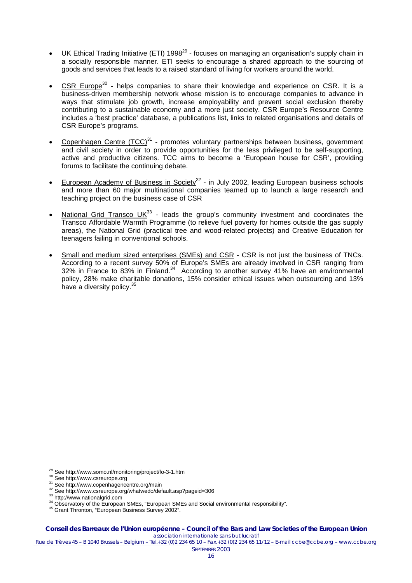- UK Ethical Trading Initiative (ETI) 1998<sup>29</sup> focuses on managing an organisation's supply chain in a socially responsible manner. ETI seeks to encourage a shared approach to the sourcing of goods and services that leads to a raised standard of living for workers around the world.
- $CSR$  Europe<sup>[30](#page-15-1)</sup> helps companies to share their knowledge and experience on  $CSR.$  It is a business-driven membership network whose mission is to encourage companies to advance in ways that stimulate job growth, increase employability and prevent social exclusion thereby contributing to a sustainable economy and a more just society. CSR Europe's Resource Centre includes a 'best practice' database, a publications list, links to related organisations and details of CSR Europe's programs.
- Copenhagen Centre  $(TCC)^{31}$  $(TCC)^{31}$  $(TCC)^{31}$  promotes voluntary partnerships between business, government and civil society in order to provide opportunities for the less privileged to be self-supporting, active and productive citizens. TCC aims to become a 'European house for CSR', providing forums to facilitate the continuing debate.
- European Academy of Business in Society<sup>32</sup> in July 2002, leading European business schools and more than 60 major multinational companies teamed up to launch a large research and teaching project on the business case of CSR
- National Grid Transco  $UK^{33}$  leads the group's community investment and coordinates the Transco Affordable Warmth Programme (to relieve fuel poverty for homes outside the gas supply areas), the National Grid (practical tree and wood-related projects) and Creative Education for teenagers failing in conventional schools.
- Small and medium sized enterprises (SMEs) and CSR CSR is not just the business of TNCs. According to a recent survey 50% of Europe's SMEs are already involved in CSR ranging from  $32\%$  in France to 83% in Finland.<sup>34</sup> According to another survey 41% have an environmental policy, 28% make charitable donations, 15% consider ethical issues when outsourcing and 13% have a diversity policy.<sup>[35](#page-15-6)</sup>

<span id="page-15-0"></span><sup>&</sup>lt;sup>29</sup> See http://www.somo.nl/monitoring/project/fo-3-1.htm

<span id="page-15-1"></span>

<span id="page-15-2"></span>

<span id="page-15-3"></span>

<span id="page-15-5"></span><span id="page-15-4"></span>

<sup>30</sup> See http://www.csreurope.org<br>
31 See http://www.cspeurope.org<br>
32 See http://www.cspeurope.org/whatwedo/default.asp?pageid=306<br>
33 http://www.nationalgrid.com<br>
34 Observatory of the European SMEs, "European SMEs and Soc

<span id="page-15-6"></span><sup>&</sup>lt;sup>35</sup> Grant Thronton, "European Business Survey 2002".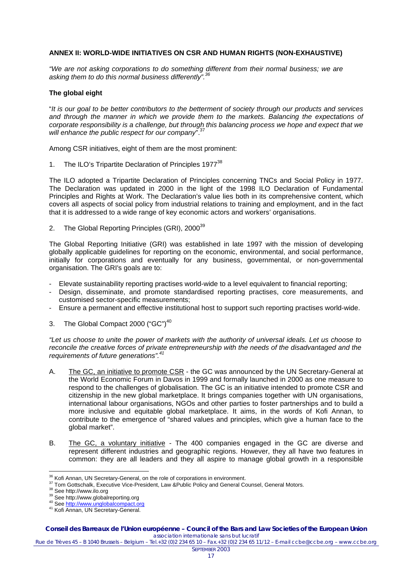# <span id="page-16-0"></span>**ANNEX II: WORLD-WIDE INITIATIVES ON CSR AND HUMAN RIGHTS (NON-EXHAUSTIVE)**

*"We are not asking corporations to do something different from their normal business; we are asking them to do this normal business differently". [36](#page-16-1)*

# **The global eight**

"*It is our goal to be better contributors to the betterment of society through our products and services and through the manner in which we provide them to the markets. Balancing the expectations of corporate responsibility is a challenge, but through this balancing process we hope and expect that we*  will enhance the public respect for our company".<sup>3</sup>

Among CSR initiatives, eight of them are the most prominent:

1. The ILO's Tripartite Declaration of Principles 1977<sup>[38](#page-16-3)</sup>

The ILO adopted a Tripartite Declaration of Principles concerning TNCs and Social Policy in 1977. The Declaration was updated in 2000 in the light of the 1998 ILO Declaration of Fundamental Principles and Rights at Work. The Declaration's value lies both in its comprehensive content, which covers all aspects of social policy from industrial relations to training and employment, and in the fact that it is addressed to a wide range of key economic actors and workers' organisations.

2. The Global Reporting Principles (GRI), 2000<sup>[39](#page-16-4)</sup>

The Global Reporting Initiative (GRI) was established in late 1997 with the mission of developing globally applicable guidelines for reporting on the economic, environmental, and social performance, initially for corporations and eventually for any business, governmental, or non-governmental organisation. The GRI's goals are to:

- Elevate sustainability reporting practises world-wide to a level equivalent to financial reporting;
- Design, disseminate, and promote standardised reporting practises, core measurements, and customised sector-specific measurements;
- Ensure a permanent and effective institutional host to support such reporting practises world-wide.
- 3. The Global Compact 2000 ("GC")<sup>[40](#page-16-5)</sup>

*"Let us choose to unite the power of markets with the authority of universal ideals. Let us choose to reconcile the creative forces of private entrepreneurship with the needs of the disadvantaged and the requirements of future generations". [41](#page-16-6)*

- A. The GC, an initiative to promote CSR the GC was announced by the UN Secretary-General at the World Economic Forum in Davos in 1999 and formally launched in 2000 as one measure to respond to the challenges of globalisation. The GC is an initiative intended to promote CSR and citizenship in the new global marketplace. It brings companies together with UN organisations, international labour organisations, NGOs and other parties to foster partnerships and to build a more inclusive and equitable global marketplace. It aims, in the words of Kofi Annan, to contribute to the emergence of "shared values and principles, which give a human face to the global market".
- B. The GC, a voluntary initiative The 400 companies engaged in the GC are diverse and represent different industries and geographic regions. However, they all have two features in common: they are all leaders and they all aspire to manage global growth in a responsible

<span id="page-16-1"></span><sup>&</sup>lt;sup>36</sup> Kofi Annan, UN Secretary-General, on the role of corporations in environment.

<span id="page-16-2"></span><sup>&</sup>lt;sup>37</sup> Tom Gottschalk, Executive Vice-President, Law &Public Policy and General Counsel, General Motors.<br><sup>38</sup> See http://www.ilo.org<br><sup>39</sup> See http://www.globalreporting.org<br><sup>39</sup> See http://www.globalreporting.org<br><sup>40</sup> See ht

<span id="page-16-3"></span>

<span id="page-16-4"></span>

<span id="page-16-5"></span>

<span id="page-16-6"></span><sup>41</sup> Kofi Annan, UN Secretary-General.

**Conseil des Barreaux de l'Union européenne – Council of the Bars and Law Societies of the European Union**  *association internationale sans but lucratif*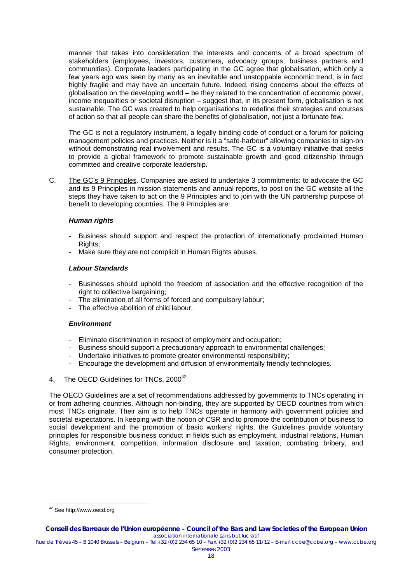manner that takes into consideration the interests and concerns of a broad spectrum of stakeholders (employees, investors, customers, advocacy groups, business partners and communities). Corporate leaders participating in the GC agree that globalisation, which only a few years ago was seen by many as an inevitable and unstoppable economic trend, is in fact highly fragile and may have an uncertain future. Indeed, rising concerns about the effects of globalisation on the developing world – be they related to the concentration of economic power, income inequalities or societal disruption – suggest that, in its present form, globalisation is not sustainable. The GC was created to help organisations to redefine their strategies and courses of action so that all people can share the benefits of globalisation, not just a fortunate few.

The GC is not a regulatory instrument, a legally binding code of conduct or a forum for policing management policies and practices. Neither is it a "safe-harbour" allowing companies to sign-on without demonstrating real involvement and results. The GC is a voluntary initiative that seeks to provide a global framework to promote sustainable growth and good citizenship through committed and creative corporate leadership.

C. The GC's 9 Principles. Companies are asked to undertake 3 commitments: to advocate the GC and its 9 Principles in mission statements and annual reports, to post on the GC website all the steps they have taken to act on the 9 Principles and to join with the UN partnership purpose of benefit to developing countries. The 9 Principles are:

# *Human rights*

- Business should support and respect the protection of internationally proclaimed Human Rights:
- Make sure they are not complicit in Human Rights abuses.

### *Labour Standards*

- Businesses should uphold the freedom of association and the effective recognition of the right to collective bargaining;
- The elimination of all forms of forced and compulsory labour;
- The effective abolition of child labour.

# *Environment*

- Eliminate discrimination in respect of employment and occupation;
- Business should support a precautionary approach to environmental challenges;
- Undertake initiatives to promote greater environmental responsibility:
- Encourage the development and diffusion of environmentally friendly technologies.
- 4. The OECD Guidelines for TNCs, 2000<sup>[42](#page-17-0)</sup>

The OECD Guidelines are a set of recommendations addressed by governments to TNCs operating in or from adhering countries. Although non-binding, they are supported by OECD countries from which most TNCs originate. Their aim is to help TNCs operate in harmony with government policies and societal expectations. In keeping with the notion of CSR and to promote the contribution of business to social development and the promotion of basic workers' rights, the Guidelines provide voluntary principles for responsible business conduct in fields such as employment, industrial relations, Human Rights, environment, competition, information disclosure and taxation, combating bribery, and consumer protection.

<span id="page-17-0"></span> $\overline{a}$ <sup>42</sup> See http://www.oecd.org

Rue de Trèves 45 – B 1040 Brussels – Belgium – Tel.+32 (0)2 234 65 10 – Fax.+32 (0)2 234 65 11/12 – E-mail ccbe@ccbe.org – www.ccbe.org SEPTEMBER 2003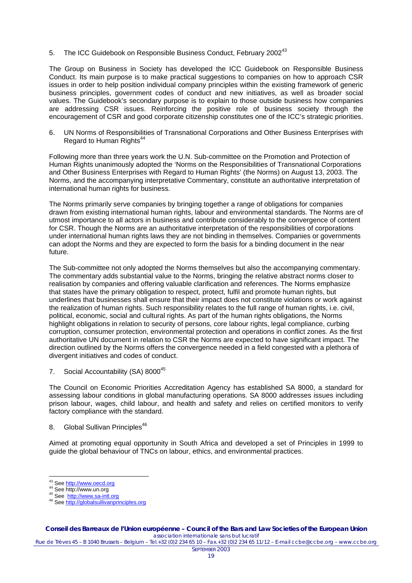5. The ICC Guidebook on Responsible Business Conduct, February 2002<sup>[43](#page-18-0)</sup>

The Group on Business in Society has developed the ICC Guidebook on Responsible Business Conduct. Its main purpose is to make practical suggestions to companies on how to approach CSR issues in order to help position individual company principles within the existing framework of generic business principles, government codes of conduct and new initiatives, as well as broader social values. The Guidebook's secondary purpose is to explain to those outside business how companies are addressing CSR issues. Reinforcing the positive role of business society through the encouragement of CSR and good corporate citizenship constitutes one of the ICC's strategic priorities.

6. UN Norms of Responsibilities of Transnational Corporations and Other Business Enterprises with Regard to Human Rights<sup>44</sup>

Following more than three years work the U.N. Sub-committee on the Promotion and Protection of Human Rights unanimously adopted the 'Norms on the Responsibilities of Transnational Corporations and Other Business Enterprises with Regard to Human Rights' (the Norms) on August 13, 2003. The Norms, and the accompanying interpretative Commentary, constitute an authoritative interpretation of international human rights for business.

The Norms primarily serve companies by bringing together a range of obligations for companies drawn from existing international human rights, labour and environmental standards. The Norms are of utmost importance to all actors in business and contribute considerably to the convergence of content for CSR. Though the Norms are an authoritative interpretation of the responsibilities of corporations under international human rights laws they are not binding in themselves. Companies or governments can adopt the Norms and they are expected to form the basis for a binding document in the near future.

The Sub-committee not only adopted the Norms themselves but also the accompanying commentary. The commentary adds substantial value to the Norms, bringing the relative abstract norms closer to realisation by companies and offering valuable clarification and references. The Norms emphasize that states have the primary obligation to respect, protect, fulfil and promote human rights, but underlines that businesses shall ensure that their impact does not constitute violations or work against the realization of human rights. Such responsibility relates to the full range of human rights, i.e. civil, political, economic, social and cultural rights. As part of the human rights obligations, the Norms highlight obligations in relation to security of persons, core labour rights, legal compliance, curbing corruption, consumer protection, environmental protection and operations in conflict zones. As the first authoritative UN document in relation to CSR the Norms are expected to have significant impact. The direction outlined by the Norms offers the convergence needed in a field congested with a plethora of divergent initiatives and codes of conduct.

7. Social Accountability (SA) 8000<sup>[45](#page-18-2)</sup>

The Council on Economic Priorities Accreditation Agency has established SA 8000, a standard for assessing labour conditions in global manufacturing operations. SA 8000 addresses issues including prison labour, wages, child labour, and health and safety and relies on certified monitors to verify factory compliance with the standard.

8. Global Sullivan Principles<sup>46</sup>

Aimed at promoting equal opportunity in South Africa and developed a set of Principles in 1999 to guide the global behaviour of TNCs on labour, ethics, and environmental practices.

45 See http://www.un.org<br>45 See <u>[http://www.sa-intl.org](http://www.sa-intl.org/)</u><br>46 See <u>http://globalsullivanprinciples.org</u>

<span id="page-18-0"></span><sup>&</sup>lt;sup>43</sup> See http://www.oecd.org<br><sup>44</sup> See http://www.un.org

<span id="page-18-1"></span>

<span id="page-18-3"></span><span id="page-18-2"></span>

Rue de Trèves 45 – B 1040 Brussels – Belgium – Tel.+32 (0)2 234 65 10 – Fax.+32 (0)2 234 65 11/12 – E-mail ccbe@ccbe.org – www.ccbe.org SEPTEMBER 2003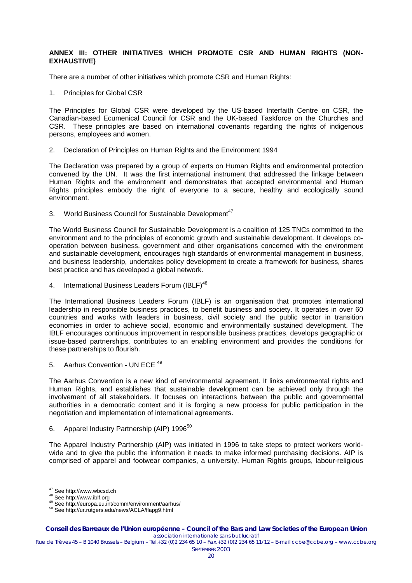# <span id="page-19-0"></span>**ANNEX III: OTHER INITIATIVES WHICH PROMOTE CSR AND HUMAN RIGHTS (NON-EXHAUSTIVE)**

There are a number of other initiatives which promote CSR and Human Rights:

1. Principles for Global CSR

The Principles for Global CSR were developed by the US-based Interfaith Centre on CSR, the Canadian-based Ecumenical Council for CSR and the UK-based Taskforce on the Churches and CSR. These principles are based on international covenants regarding the rights of indigenous persons, employees and women.

2. Declaration of Principles on Human Rights and the Environment 1994

The Declaration was prepared by a group of experts on Human Rights and environmental protection convened by the UN. It was the first international instrument that addressed the linkage between Human Rights and the environment and demonstrates that accepted environmental and Human Rights principles embody the right of everyone to a secure, healthy and ecologically sound environment.

3. World Business Council for Sustainable Development<sup>47</sup>

The World Business Council for Sustainable Development is a coalition of 125 TNCs committed to the environment and to the principles of economic growth and sustainable development. It develops cooperation between business, government and other organisations concerned with the environment and sustainable development, encourages high standards of environmental management in business, and business leadership, undertakes policy development to create a framework for business, shares best practice and has developed a global network.

4. International Business Leaders Forum (IBLF)<sup>48</sup>

The International Business Leaders Forum (IBLF) is an organisation that promotes international leadership in responsible business practices, to benefit business and society. It operates in over 60 countries and works with leaders in business, civil society and the public sector in transition economies in order to achieve social, economic and environmentally sustained development. The IBLF encourages continuous improvement in responsible business practices, develops geographic or issue-based partnerships, contributes to an enabling environment and provides the conditions for these partnerships to flourish.

5. Aarhus Convention - UN ECE<sup>[49](#page-19-3)</sup>

The Aarhus Convention is a new kind of environmental agreement. It links environmental rights and Human Rights, and establishes that sustainable development can be achieved only through the involvement of all stakeholders. It focuses on interactions between the public and governmental authorities in a democratic context and it is forging a new process for public participation in the negotiation and implementation of international agreements.

6. Apparel Industry Partnership (AIP) 1996<sup>[50](#page-19-4)</sup>

The Apparel Industry Partnership (AIP) was initiated in 1996 to take steps to protect workers worldwide and to give the public the information it needs to make informed purchasing decisions. AIP is comprised of apparel and footwear companies, a university, Human Rights groups, labour-religious

<span id="page-19-1"></span><sup>&</sup>lt;sup>47</sup> See http://www.wbcsd.ch

<span id="page-19-3"></span><span id="page-19-2"></span>

<sup>48</sup> See http://www.iblf.org<br><sup>49</sup> See http://europa.eu.int/comm/environment/aarhus/

<span id="page-19-4"></span><sup>50</sup> See http://ur.rutgers.edu/news/ACLA/flapg9.html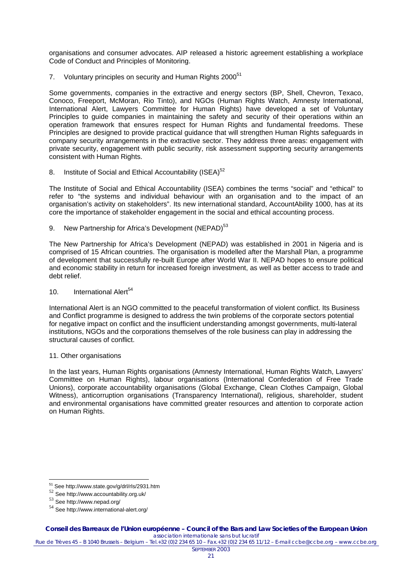organisations and consumer advocates. AIP released a historic agreement establishing a workplace Code of Conduct and Principles of Monitoring.

7. Voluntary principles on security and Human Rights 2000<sup>[51](#page-20-0)</sup>

Some governments, companies in the extractive and energy sectors (BP, Shell, Chevron, Texaco, Conoco, Freeport, McMoran, Rio Tinto), and NGOs (Human Rights Watch, Amnesty International, International Alert, Lawyers Committee for Human Rights) have developed a set of Voluntary Principles to guide companies in maintaining the safety and security of their operations within an operation framework that ensures respect for Human Rights and fundamental freedoms. These Principles are designed to provide practical guidance that will strengthen Human Rights safeguards in company security arrangements in the extractive sector. They address three areas: engagement with private security, engagement with public security, risk assessment supporting security arrangements consistent with Human Rights.

8. Institute of Social and Ethical Accountability (ISEA)<sup>[52](#page-20-1)</sup>

The Institute of Social and Ethical Accountability (ISEA) combines the terms "social" and "ethical" to refer to "the systems and individual behaviour with an organisation and to the impact of an organisation's activity on stakeholders". Its new international standard, AccountAbility 1000, has at its core the importance of stakeholder engagement in the social and ethical accounting process.

9. New Partnership for Africa's Development (NEPAD)<sup>[53](#page-20-2)</sup>

The New Partnership for Africa's Development (NEPAD) was established in 2001 in Nigeria and is comprised of 15 African countries. The organisation is modelled after the Marshall Plan, a programme of development that successfully re-built Europe after World War II. NEPAD hopes to ensure political and economic stability in return for increased foreign investment, as well as better access to trade and debt relief.

10. International Alert<sup>[54](#page-20-3)</sup>

International Alert is an NGO committed to the peaceful transformation of violent conflict. Its Business and Conflict programme is designed to address the twin problems of the corporate sectors potential for negative impact on conflict and the insufficient understanding amongst governments, multi-lateral institutions, NGOs and the corporations themselves of the role business can play in addressing the structural causes of conflict.

11. Other organisations

In the last years, Human Rights organisations (Amnesty International, Human Rights Watch, Lawyers' Committee on Human Rights), labour organisations (International Confederation of Free Trade Unions), corporate accountability organisations (Global Exchange, Clean Clothes Campaign, Global Witness), anticorruption organisations (Transparency International), religious, shareholder, student and environmental organisations have committed greater resources and attention to corporate action on Human Rights.

<span id="page-20-0"></span><sup>&</sup>lt;sup>51</sup> See http://www.state.gov/g/drl/rls/2931.htm

<span id="page-20-1"></span><sup>52</sup> See http://www.accountability.org.uk/

<span id="page-20-2"></span><sup>53</sup> See http://www.nepad.org/

<span id="page-20-3"></span><sup>54</sup> See http://www.international-alert.org/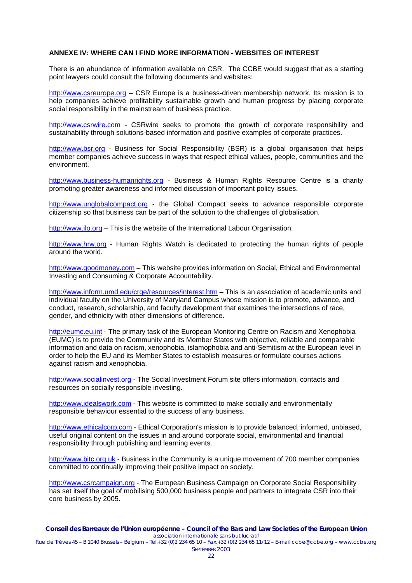## <span id="page-21-0"></span>**ANNEXE IV: WHERE CAN I FIND MORE INFORMATION - WEBSITES OF INTEREST**

There is an abundance of information available on CSR. The CCBE would suggest that as a starting point lawyers could consult the following documents and websites:

[http://www.csreurope.org](http://www.csreurope.org/) – CSR Europe is a business-driven membership network. Its mission is to help companies achieve profitability sustainable growth and human progress by placing corporate social responsibility in the mainstream of business practice.

[http://www.csrwire.com](http://www.csrwire.com/) - CSRwire seeks to promote the growth of corporate responsibility and sustainability through solutions-based information and positive examples of corporate practices.

[http://www.bsr.org](http://www.bsr.org/) - Business for Social Responsibility (BSR) is a global organisation that helps member companies achieve success in ways that respect ethical values, people, communities and the environment.

[http://www.business-humanrights.org](http://www.business-humanrights.org/) - Business & Human Rights Resource Centre is a charity promoting greater awareness and informed discussion of important policy issues.

[http://www.unglobalcompact.org](http://www.unglobalcompact.org/Portal/) - the Global Compact seeks to advance responsible corporate citizenship so that business can be part of the solution to the challenges of globalisation.

[http://www.ilo.org](http://www.ilo.org/) – This is the website of the International Labour Organisation.

[http://www.hrw.org](http://www.hrw.org/advocacy/corporations/commentary.htm) - Human Rights Watch is dedicated to protecting the human rights of people around the world.

[http://www.goodmoney.com](http://www.goodmoney.com/directry_codes.htm) – This website provides information on Social, Ethical and Environmental Investing and Consuming & Corporate Accountability.

<http://www.inform.umd.edu/crge/resources/interest.htm> – This is an association of academic units and individual faculty on the University of Maryland Campus whose mission is to promote, advance, and conduct, research, scholarship, and faculty development that examines the intersections of race, gender, and ethnicity with other dimensions of difference.

[http://eumc.eu.int](http://eumc.eu.int/) - The primary task of the European Monitoring Centre on Racism and Xenophobia (EUMC) is to provide the Community and its Member States with objective, reliable and comparable information and data on racism, xenophobia, islamophobia and anti-Semitism at the European level in order to help the EU and its Member States to establish measures or formulate courses actions against racism and xenophobia.

[http://www.socialinvest.org](http://www.socialinvest.org/) - The Social Investment Forum site offers information, contacts and resources on socially responsible investing.

[http://www.idealswork.com](http://www.idealswork.com/) - This website is committed to make socially and environmentally responsible behaviour essential to the success of any business.

[http://www.ethicalcorp.com](http://www.ethicalcorp.com/) - Ethical Corporation's mission is to provide balanced, informed, unbiased, useful original content on the issues in and around corporate social, environmental and financial responsibility through publishing and learning events.

[http://www.bitc.org.uk](http://www.bitc.org.uk/) - Business in the Community is a unique movement of 700 member companies committed to continually improving their positive impact on society.

[http://www.csrcampaign.org](http://www.csrcampaign.org/) - The European Business Campaign on Corporate Social Responsibility has set itself the goal of mobilising 500,000 business people and partners to integrate CSR into their core business by 2005.